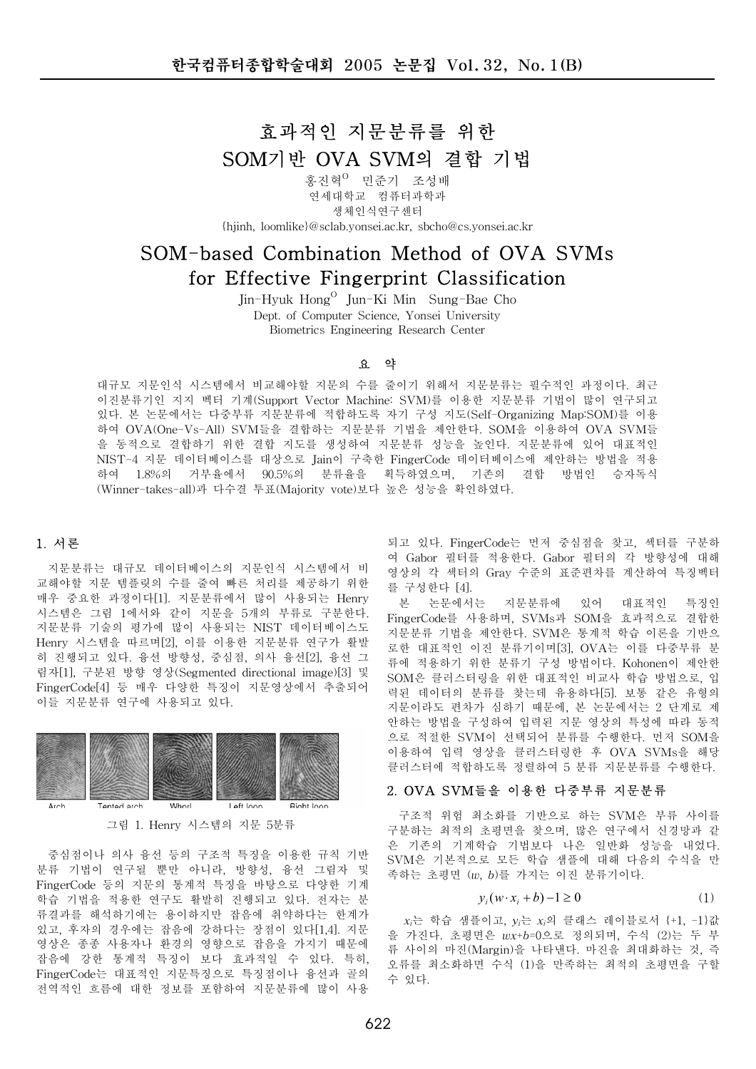# 효과적인 지문분류를 위한 SOM기반 OVA SVM의 결합 기법

홍진혁<sup>0</sup> 민준기 조성배 연세대학교 컴퓨터과학과 생체인식연구세터 {hjinh, loomlike}@sclab.yonsei.ac.kr, sbcho@cs.yonsei.ac.kr

# 50M-based Combination Method of OVA SVMs for Effective Fingerprint Classification

Jin-Hyuk Hong<sup>O</sup> Jun-Ki Min Sung-Bae Cho Dept. of Computer Science, Yonsei University Biometrics Engineering Research Center

#### 요 약

대규모 지문인식 시스템에서 비교해야할 지문의 수를 줄이기 위해서 지문분류는 필수적인 과정이다. 최근 이진분류기인 지지 벡터 기계(Support Vector Machine: SVM)를 이용한 지문분류 기법이 많이 연구되고 있다. 본 논문에서는 다중부류 지문분류에 적합하도록 자기 구성 지도(Self-Organizing Map:SOM)를 이용 하여 OVA(One-Vs-All) SVM들을 결합하는 지문분류 기법을 제안한다. SOM을 이용하여 OVA SVM들 을 동적으로 결합하기 위한 결합 지도를 생성하여 지문분류 성능을 높인다. 지문분류에 있어 대표적인 NIST-4 지문 데이터베이스를 대상으로 Jain이 구축한 FingerCode 데이터베이스에 제안하는 방법을 적용 하여 1.8%의 거부율에서 90.5%의 분류율을 획득하였으며, 기존의 결합 방법인 승자독식 (Winner-takes-all)과 다수결 투표(Majority vote)보다 높은 성능을 확인하였다.

# 1. 서론

지문분류는 대규모 데이터베이스의 지문인식 시스템에서 비 교해야할 지문 템플릿의 수를 줄여 빠른 처리를 제공하기 위한 매우 중요한 과정이다[1]. 지문분류에서 많이 사용되는 Henry 시스템은 그림 1에서와 같이 지문을 5개의 부류로 구분한다. 지문분류 기술의 평가에 많이 사용되는 NIST 데이터베이스도 Henry 시스템을 따르며[2], 이를 이용한 지문분류 연구가 활발 히 진행되고 있다. 융선 방향성, 중심점, 의사 융선[2], 융선 그 립자[1], 구분된 방향 영상(Segmented directional image)[3] 및 FingerCode[4] 등 매우 다양한 특징이 지문영상에서 추출되어 이들 지문분류 연구에 사용되고 있다.





중심점이나 의사 융선 등의 구조적 특징을 이용한 규칙 기반 분류 기법이 연구될 뿐만 아니라 방향성 융선 그림자 및 FingerCode 등의 지문의 통계적 특징을 바탕으로 다양한 기계 학습 기법을 적용한 연구도 활발히 진행되고 있다. 전자는 분 류결과를 해석하기에는 용이하지만 잡음에 취약하다는 한계가 있고, 후자의 경우에는 잡음에 강하다는 장점이 있다[1.4]. 지문 영상은 종종 사용자나 환경의 영향으로 잡음을 가지기 때문에 잡음에 강한 통계적 특징이 보다 효과적일 수 있다. 특히, FingerCode는 대표적인 지문특징으로 특징점이나 융선과 골의 전역적인 흐름에 대한 정보를 포함하여 지문분류에 많이 사용

되고 있다. FingerCode는 먼저 중심점을 찾고, 섹터를 구분하 여 Gabor 필터를 적용한다. Gabor 필터의 각 방향성에 대해 영상의 각 섹터의 Grav 수준의 표준편차를 계산하여 특징벡터 를 구성한다 [4].

본 논문에서는 지문분류에 있어 대표적인 특징인 FingerCode를 사용하며, SVMs과 SOM을 효과적으로 결합한 지문분류 기법을 제안한다. SVM은 통계적 학습 이론을 기반으 로한 대표적인 이진 분류기이며[3]. OVA는 이를 다중부류 분 류에 적용하기 위한 분류기 구성 방법이다. Kohonen이 제안한 SOM은 클러스터링을 위한 대표적인 비교사 학습 방법으로, 입 력된 데이터의 분류를 찾는데 유용하다[5]. 보통 같은 유형의 지문이라도 편차가 심하기 때문에, 본 논문에서는 2 단계로 제 안하는 방법을 구성하여 입력된 지문 영상의 특성에 따라 동적 으로 적절한 SVM이 선택되어 분류를 수행한다. 먼저 SOM을 이용하여 입력 영상을 클러스터링한 후 OVA SVMs을 해당 클러스터에 적합하도록 정렬하여 5 분류 지문분류를 수행한다.

#### 2. OVA SVM들을 이용한 다중부류 지문분류

구조적 위험 최소화를 기반으로 하는 SVM은 부류 사이를 구분하는 최적의 초평면을 찾으며 많은 연구에서 신경망과 같 은 기존의 기계학습 기법보다 나은 일반화 성능을 내었다. SVM은 기본적으로 모든 학습 샘플에 대해 다음의 수식을 만 촉하는 초평면 ( $w$ ,  $b$ )를 가지는 이진 분류기이다.

$$
y_i(w \cdot x_i + b) - 1 \ge 0 \tag{1}
$$

 $x_i$ 는 학습 샘플이고,  $y_i$ 는  $x_i$ 의 클래스 레이블로서 {+1, -1}값 을 가진다. 초평면은 wx+b=0으로 정의되며, 수식 (2)는 두 부 류 사이의 마진(Margin)을 나타낸다. 마진을 최대화하는 것, 즉 오류를 최소화하면 수식 (1)을 만족하는 최적의 초평면을 구할 수 있다.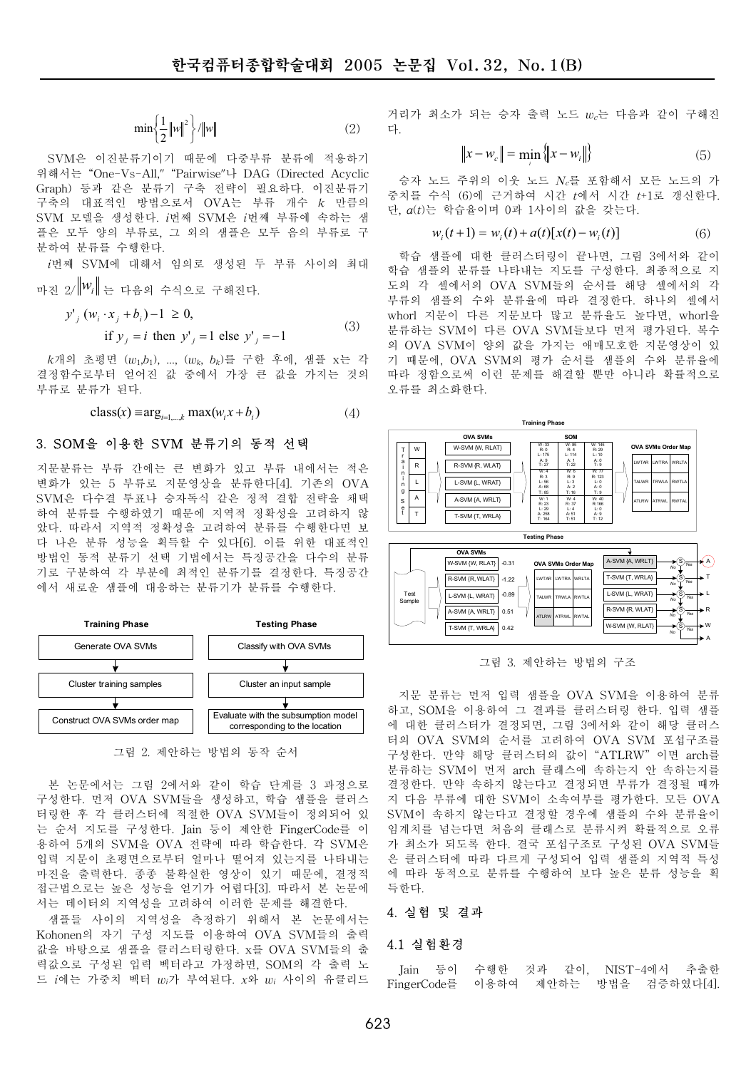$$
\min\left\{\frac{1}{2}\left\|w\right\|^2\right\}/\|w\|\tag{2}
$$

SVM은 이진분류기이기 때문에 다중부류 분류에 적용하기 위해서는 "One-Vs-All," "Pairwise"나 DAG (Directed Acyclic Graph) 등과 같은 분류기 구축 전략이 필요하다. 이진분류기 구축의 대표적인 방법으로서 OVA는 부류 개수  $k$  만큼의 SVM 모델을 생성하다 i번째 SVM은 i번째 부류에 속하는 색 플은 모두 양의 부류로, 그 외의 샘플은 모두 음의 부류로 구 분하여 분류를 수행한다.

j번째 SVM에 대해서 임의로 생성된 두 부류 사이의 최대 마지 2/ $\|W_i\|$ 는 다음의 수식으로 구해진다.

$$
y'_{j}(w_{i} \cdot x_{j} + b_{i}) - 1 \ge 0,
$$
  
if  $y_{j} = i$  then  $y'_{j} = 1$  else  $y'_{j} = -1$  (3)

 $k$ 개의 초평면 ( $w_1,b_1$ ), ..., ( $w_k,$   $b_k$ )를 구한 후에, 샘플 x는 각 결정함수로부터 얻어진 값 중에서 가장 큰 값을 가지는 것의 부류로 부류가 된다.

$$
\text{class}(x) \equiv \arg_{i=1,\dots,k} \max(w_i x + b_i) \tag{4}
$$

# 3. SOM을 이용한 SVM 분류기의 동적 선택

지문분류는 부류 간에는 큰 변화가 있고 부류 내에서는 적은 변화가 있는 5 부류로 지문영상을 분류한다[4]. 기존의 OVA SVM은 다수결 투표나 승자독식 같은 정적 결합 전략을 채택 하여 분류를 수행하였기 때문에 지역적 정확성을 고려하지 않 았다. 따라서 지역적 정확성을 고려하여 분류를 수행한다면 보 다 나은 분류 성능을 획득할 수 있다[6]. 이를 위한 대표적인 방법인 동적 분류기 선택 기법에서는 특징공간을 다수의 분류 기로 구분하여 각 부분에 최적인 분류기를 결정한다. 특징공간 에서 새로운 샘플에 대응하는 분류기가 분류를 수행한다.



그림 2. 제안하는 방법의 동작 순서

본 논문에서는 그림 2에서와 같이 학습 단계를 3 과정으로 구성한다. 먼저 OVA SVM들을 생성하고, 학습 샘플을 클러스 터링한 후 각 클러스터에 적절한 OVA SVM들이 정의되어 있 는 순서 지도를 구성한다. Jain 등이 제안한 FingerCode를 이 용하여 5개의 SVM을 OVA 전략에 따라 학습한다. 각 SVM은 입력 지문이 초평면으로부터 얼마나 떨어져 있는지를 나타내는 마진을 출력한다. 종종 불확실한 영상이 있기 때문에, 결정적 접근법으로는 높은 성능을 얻기가 어렵다[3]. 따라서 본 논문에 서는 데이터의 지역성을 고려하여 이러한 문제를 해결한다.

샘플들 사이의 지역성을 측정하기 위해서 본 논문에서는 Kohonen의 자기 구성 지도를 이용하여 OVA SVM들의 출력 값을 바탕으로 샘플을 클러스터링한다. x를 OVA SVM들의 출 력값으로 구성된 입력 벡터라고 가정하면, SOM의 각 출력 노 드  $i$ 에는 가중치 벡터  $w_i$ 가 부여된다.  $x$ 와  $w_i$  사이의 유클리드 거리가 최소가 되는 승자 출력 노드 wc는 다음과 같이 구해진 다

$$
||x - w_c|| = \min_{i} \{ ||x - w_i|| \}
$$
 (5)

승자 노드 주위의 이웃 노드  $N_c$ 를 포함해서 모든 노드의 가 중치를 수식 (6)에 근거하여 시간 *t*에서 시간 *t*+1로 갱신한다. 단,  $a(t)$ 는 학습율이며 0과 1사이의 값을 갖는다.

$$
w_i(t+1) = w_i(t) + a(t)[x(t) - w_i(t)]
$$
 (6)

학습 샘플에 대한 클러스터링이 끝나면, 그림 3에서와 같이 학습 샘플의 분류를 나타내는 지도를 구성한다. 최종적으로 지 도의 각 셀에서의 OVA SVM들의 순서를 해당 셀에서의 각 부류의 샘플의 수와 분류율에 따라 결정한다. 하나의 셀에서 whorl 지문이 다른 지문보다 많고 분류율도 높다면, whorl을 분류하는 SVM이 다른 OVA SVM들보다 먼저 평가된다. 복수 의 OVA SVM이 양의 값을 가지는 애매모호한 지문영상이 있 기 때문에. OVA SVM의 평가 순서를 샘플의 수와 분류율에 따라 정함으로써 이런 문제를 해결할 뿐만 아니라 확률적으로 오류를 최소화한다.



그림 3. 제안하는 방법의 구조

지문 분류는 먼저 입력 샘플을 OVA SVM을 이용하여 분류 하고, SOM을 이용하여 그 결과를 클러스터링 한다. 입력 샘플 에 대한 클러스터가 결정되면, 그림 3에서와 같이 해당 클러스 터의 OVA SVM의 순서를 고려하여 OVA SVM 포섭구조를 구성한다. 만약 해당 클러스터의 값이 "ATLRW" 이면 arch를 분류하는 SVM이 먼저 arch 클래스에 속하는지 안 속하는지를 결정한다. 만약 속하지 않는다고 결정되면 부류가 결정될 때까 지 다음 부류에 대한 SVM이 소속여부를 평가한다. 모든 OVA SVM이 속하지 않는다고 결정할 경우에 샘플의 수와 분류율이 임계치를 넘는다면 처음의 클래스로 분류시켜 확률적으로 오류 가 최소가 되도록 한다. 결국 포섭구조로 구성된 OVA SVM를 은 클러스터에 따라 다르게 구성되어 입력 샘플의 지역적 특성 에 따라 동적으로 분류를 수행하여 보다 높은 분류 성능을 획 특한다.

#### 4. 실험 및 결과

#### 4.1 실험환경

Jain 등이 수행한 것과 같이, NIST-4에서 추출한 FingerCode를 이용하여 제안하는 방법을 검증하였다[4].